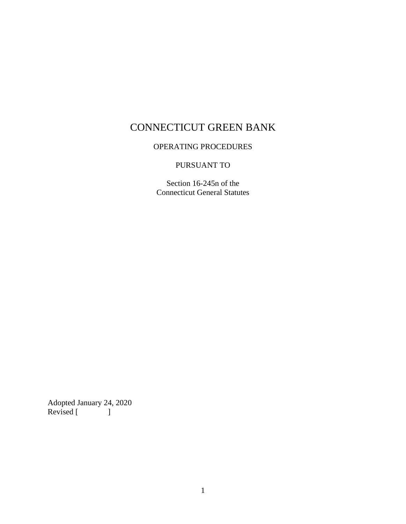# CONNECTICUT GREEN BANK

# OPERATING PROCEDURES

# PURSUANT TO

Section 16-245n of the Connecticut General Statutes

Adopted January 24, 2020 Revised [ ]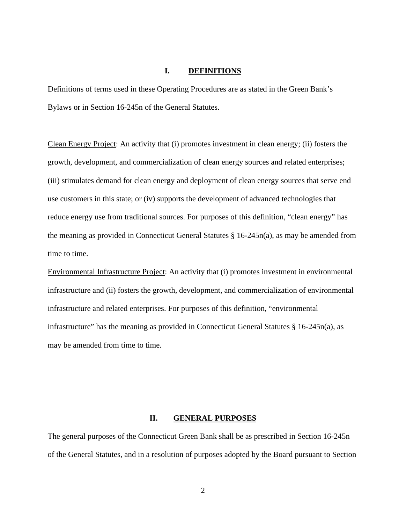#### **I. DEFINITIONS**

Definitions of terms used in these Operating Procedures are as stated in the Green Bank's Bylaws or in Section 16-245n of the General Statutes.

Clean Energy Project: An activity that (i) promotes investment in clean energy; (ii) fosters the growth, development, and commercialization of clean energy sources and related enterprises; (iii) stimulates demand for clean energy and deployment of clean energy sources that serve end use customers in this state; or (iv) supports the development of advanced technologies that reduce energy use from traditional sources. For purposes of this definition, "clean energy" has the meaning as provided in Connecticut General Statutes § 16-245n(a), as may be amended from time to time.

Environmental Infrastructure Project: An activity that (i) promotes investment in environmental infrastructure and (ii) fosters the growth, development, and commercialization of environmental infrastructure and related enterprises. For purposes of this definition, "environmental infrastructure" has the meaning as provided in Connecticut General Statutes § 16-245n(a), as may be amended from time to time.

#### **II. GENERAL PURPOSES**

The general purposes of the Connecticut Green Bank shall be as prescribed in Section 16-245n of the General Statutes, and in a resolution of purposes adopted by the Board pursuant to Section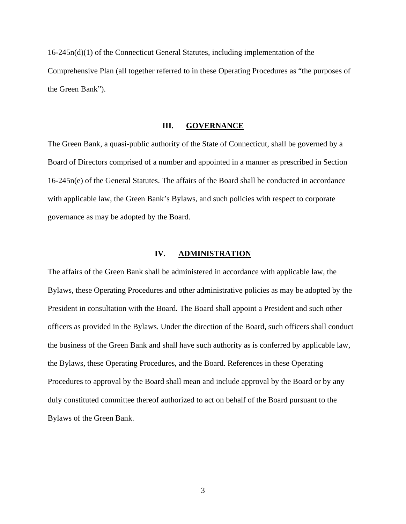16-245n(d)(1) of the Connecticut General Statutes, including implementation of the Comprehensive Plan (all together referred to in these Operating Procedures as "the purposes of the Green Bank").

### **III. GOVERNANCE**

The Green Bank, a quasi-public authority of the State of Connecticut, shall be governed by a Board of Directors comprised of a number and appointed in a manner as prescribed in Section 16-245n(e) of the General Statutes. The affairs of the Board shall be conducted in accordance with applicable law, the Green Bank's Bylaws, and such policies with respect to corporate governance as may be adopted by the Board.

#### **IV. ADMINISTRATION**

The affairs of the Green Bank shall be administered in accordance with applicable law, the Bylaws, these Operating Procedures and other administrative policies as may be adopted by the President in consultation with the Board. The Board shall appoint a President and such other officers as provided in the Bylaws. Under the direction of the Board, such officers shall conduct the business of the Green Bank and shall have such authority as is conferred by applicable law, the Bylaws, these Operating Procedures, and the Board. References in these Operating Procedures to approval by the Board shall mean and include approval by the Board or by any duly constituted committee thereof authorized to act on behalf of the Board pursuant to the Bylaws of the Green Bank.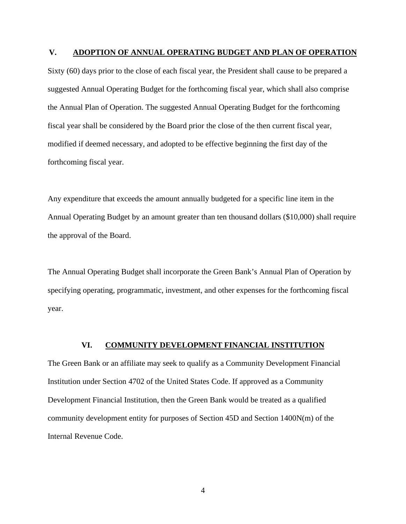#### **V. ADOPTION OF ANNUAL OPERATING BUDGET AND PLAN OF OPERATION**

Sixty (60) days prior to the close of each fiscal year, the President shall cause to be prepared a suggested Annual Operating Budget for the forthcoming fiscal year, which shall also comprise the Annual Plan of Operation. The suggested Annual Operating Budget for the forthcoming fiscal year shall be considered by the Board prior the close of the then current fiscal year, modified if deemed necessary, and adopted to be effective beginning the first day of the forthcoming fiscal year.

Any expenditure that exceeds the amount annually budgeted for a specific line item in the Annual Operating Budget by an amount greater than ten thousand dollars (\$10,000) shall require the approval of the Board.

The Annual Operating Budget shall incorporate the Green Bank's Annual Plan of Operation by specifying operating, programmatic, investment, and other expenses for the forthcoming fiscal year.

## **VI. COMMUNITY DEVELOPMENT FINANCIAL INSTITUTION**

The Green Bank or an affiliate may seek to qualify as a Community Development Financial Institution under Section 4702 of the United States Code. If approved as a Community Development Financial Institution, then the Green Bank would be treated as a qualified community development entity for purposes of Section 45D and Section 1400N(m) of the Internal Revenue Code.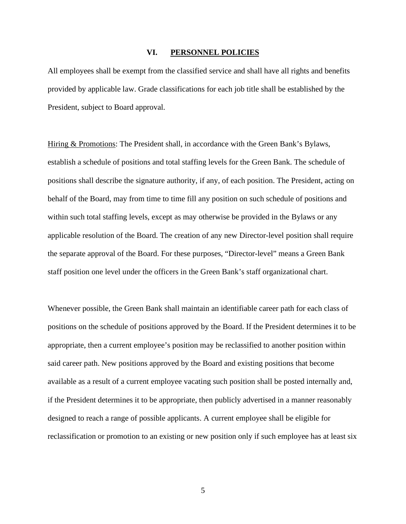#### **VI. PERSONNEL POLICIES**

All employees shall be exempt from the classified service and shall have all rights and benefits provided by applicable law. Grade classifications for each job title shall be established by the President, subject to Board approval.

Hiring & Promotions: The President shall, in accordance with the Green Bank's Bylaws, establish a schedule of positions and total staffing levels for the Green Bank. The schedule of positions shall describe the signature authority, if any, of each position. The President, acting on behalf of the Board, may from time to time fill any position on such schedule of positions and within such total staffing levels, except as may otherwise be provided in the Bylaws or any applicable resolution of the Board. The creation of any new Director-level position shall require the separate approval of the Board. For these purposes, "Director-level" means a Green Bank staff position one level under the officers in the Green Bank's staff organizational chart.

Whenever possible, the Green Bank shall maintain an identifiable career path for each class of positions on the schedule of positions approved by the Board. If the President determines it to be appropriate, then a current employee's position may be reclassified to another position within said career path. New positions approved by the Board and existing positions that become available as a result of a current employee vacating such position shall be posted internally and, if the President determines it to be appropriate, then publicly advertised in a manner reasonably designed to reach a range of possible applicants. A current employee shall be eligible for reclassification or promotion to an existing or new position only if such employee has at least six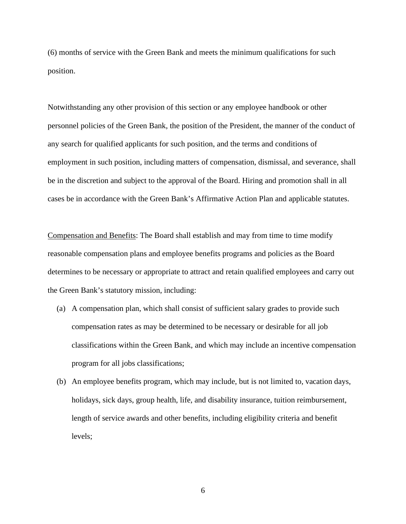(6) months of service with the Green Bank and meets the minimum qualifications for such position.

Notwithstanding any other provision of this section or any employee handbook or other personnel policies of the Green Bank, the position of the President, the manner of the conduct of any search for qualified applicants for such position, and the terms and conditions of employment in such position, including matters of compensation, dismissal, and severance, shall be in the discretion and subject to the approval of the Board. Hiring and promotion shall in all cases be in accordance with the Green Bank's Affirmative Action Plan and applicable statutes.

Compensation and Benefits: The Board shall establish and may from time to time modify reasonable compensation plans and employee benefits programs and policies as the Board determines to be necessary or appropriate to attract and retain qualified employees and carry out the Green Bank's statutory mission, including:

- (a) A compensation plan, which shall consist of sufficient salary grades to provide such compensation rates as may be determined to be necessary or desirable for all job classifications within the Green Bank, and which may include an incentive compensation program for all jobs classifications;
- (b) An employee benefits program, which may include, but is not limited to, vacation days, holidays, sick days, group health, life, and disability insurance, tuition reimbursement, length of service awards and other benefits, including eligibility criteria and benefit levels;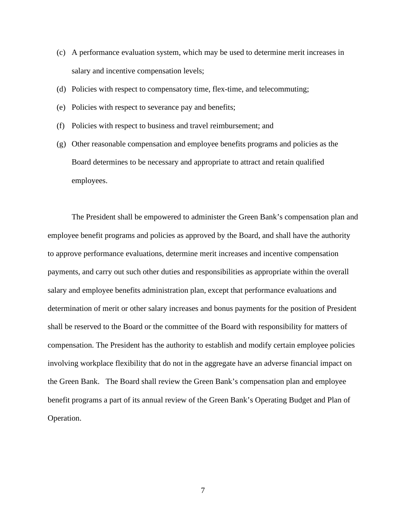- (c) A performance evaluation system, which may be used to determine merit increases in salary and incentive compensation levels;
- (d) Policies with respect to compensatory time, flex-time, and telecommuting;
- (e) Policies with respect to severance pay and benefits;
- (f) Policies with respect to business and travel reimbursement; and
- (g) Other reasonable compensation and employee benefits programs and policies as the Board determines to be necessary and appropriate to attract and retain qualified employees.

The President shall be empowered to administer the Green Bank's compensation plan and employee benefit programs and policies as approved by the Board, and shall have the authority to approve performance evaluations, determine merit increases and incentive compensation payments, and carry out such other duties and responsibilities as appropriate within the overall salary and employee benefits administration plan, except that performance evaluations and determination of merit or other salary increases and bonus payments for the position of President shall be reserved to the Board or the committee of the Board with responsibility for matters of compensation. The President has the authority to establish and modify certain employee policies involving workplace flexibility that do not in the aggregate have an adverse financial impact on the Green Bank. The Board shall review the Green Bank's compensation plan and employee benefit programs a part of its annual review of the Green Bank's Operating Budget and Plan of Operation.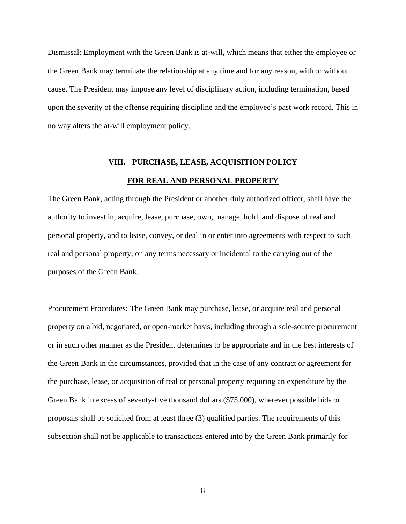Dismissal: Employment with the Green Bank is at-will, which means that either the employee or the Green Bank may terminate the relationship at any time and for any reason, with or without cause. The President may impose any level of disciplinary action, including termination, based upon the severity of the offense requiring discipline and the employee's past work record. This in no way alters the at-will employment policy.

# **VIII. PURCHASE, LEASE, ACQUISITION POLICY FOR REAL AND PERSONAL PROPERTY**

The Green Bank, acting through the President or another duly authorized officer, shall have the authority to invest in, acquire, lease, purchase, own, manage, hold, and dispose of real and personal property, and to lease, convey, or deal in or enter into agreements with respect to such real and personal property, on any terms necessary or incidental to the carrying out of the purposes of the Green Bank.

Procurement Procedures: The Green Bank may purchase, lease, or acquire real and personal property on a bid, negotiated, or open-market basis, including through a sole-source procurement or in such other manner as the President determines to be appropriate and in the best interests of the Green Bank in the circumstances, provided that in the case of any contract or agreement for the purchase, lease, or acquisition of real or personal property requiring an expenditure by the Green Bank in excess of seventy-five thousand dollars (\$75,000), wherever possible bids or proposals shall be solicited from at least three (3) qualified parties. The requirements of this subsection shall not be applicable to transactions entered into by the Green Bank primarily for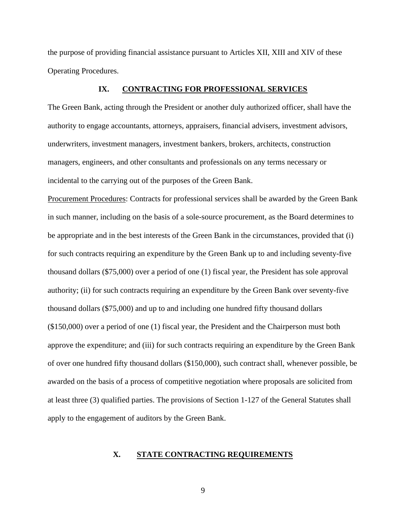the purpose of providing financial assistance pursuant to Articles XII, XIII and XIV of these Operating Procedures.

#### **IX. CONTRACTING FOR PROFESSIONAL SERVICES**

The Green Bank, acting through the President or another duly authorized officer, shall have the authority to engage accountants, attorneys, appraisers, financial advisers, investment advisors, underwriters, investment managers, investment bankers, brokers, architects, construction managers, engineers, and other consultants and professionals on any terms necessary or incidental to the carrying out of the purposes of the Green Bank.

Procurement Procedures: Contracts for professional services shall be awarded by the Green Bank in such manner, including on the basis of a sole-source procurement, as the Board determines to be appropriate and in the best interests of the Green Bank in the circumstances, provided that (i) for such contracts requiring an expenditure by the Green Bank up to and including seventy-five thousand dollars (\$75,000) over a period of one (1) fiscal year, the President has sole approval authority; (ii) for such contracts requiring an expenditure by the Green Bank over seventy-five thousand dollars (\$75,000) and up to and including one hundred fifty thousand dollars (\$150,000) over a period of one (1) fiscal year, the President and the Chairperson must both approve the expenditure; and (iii) for such contracts requiring an expenditure by the Green Bank of over one hundred fifty thousand dollars (\$150,000), such contract shall, whenever possible, be awarded on the basis of a process of competitive negotiation where proposals are solicited from at least three (3) qualified parties. The provisions of Section 1-127 of the General Statutes shall apply to the engagement of auditors by the Green Bank.

#### **X. STATE CONTRACTING REQUIREMENTS**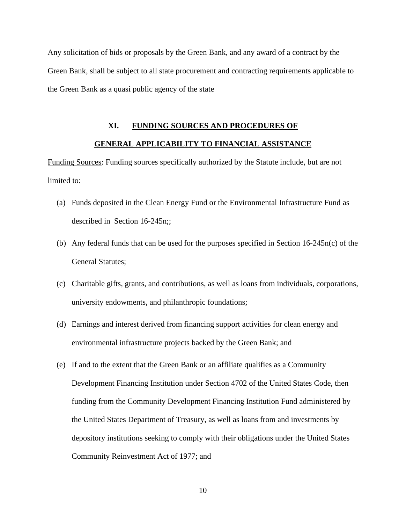Any solicitation of bids or proposals by the Green Bank, and any award of a contract by the Green Bank, shall be subject to all state procurement and contracting requirements applicable to the Green Bank as a quasi public agency of the state

## **XI. FUNDING SOURCES AND PROCEDURES OF**

## **GENERAL APPLICABILITY TO FINANCIAL ASSISTANCE**

Funding Sources: Funding sources specifically authorized by the Statute include, but are not limited to:

- (a) Funds deposited in the Clean Energy Fund or the Environmental Infrastructure Fund as described in Section 16-245n;;
- (b) Any federal funds that can be used for the purposes specified in Section 16-245n(c) of the General Statutes;
- (c) Charitable gifts, grants, and contributions, as well as loans from individuals, corporations, university endowments, and philanthropic foundations;
- (d) Earnings and interest derived from financing support activities for clean energy and environmental infrastructure projects backed by the Green Bank; and
- (e) If and to the extent that the Green Bank or an affiliate qualifies as a Community Development Financing Institution under Section 4702 of the United States Code, then funding from the Community Development Financing Institution Fund administered by the United States Department of Treasury, as well as loans from and investments by depository institutions seeking to comply with their obligations under the United States Community Reinvestment Act of 1977; and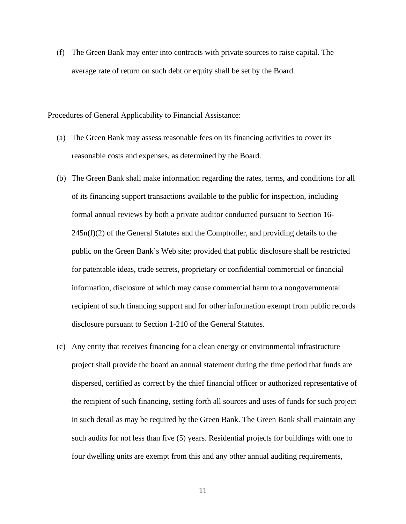(f) The Green Bank may enter into contracts with private sources to raise capital. The average rate of return on such debt or equity shall be set by the Board.

#### Procedures of General Applicability to Financial Assistance:

- (a) The Green Bank may assess reasonable fees on its financing activities to cover its reasonable costs and expenses, as determined by the Board.
- (b) The Green Bank shall make information regarding the rates, terms, and conditions for all of its financing support transactions available to the public for inspection, including formal annual reviews by both a private auditor conducted pursuant to Section 16-  $245n(f)(2)$  of the General Statutes and the Comptroller, and providing details to the public on the Green Bank's Web site; provided that public disclosure shall be restricted for patentable ideas, trade secrets, proprietary or confidential commercial or financial information, disclosure of which may cause commercial harm to a nongovernmental recipient of such financing support and for other information exempt from public records disclosure pursuant to Section 1-210 of the General Statutes.
- (c) Any entity that receives financing for a clean energy or environmental infrastructure project shall provide the board an annual statement during the time period that funds are dispersed, certified as correct by the chief financial officer or authorized representative of the recipient of such financing, setting forth all sources and uses of funds for such project in such detail as may be required by the Green Bank. The Green Bank shall maintain any such audits for not less than five (5) years. Residential projects for buildings with one to four dwelling units are exempt from this and any other annual auditing requirements,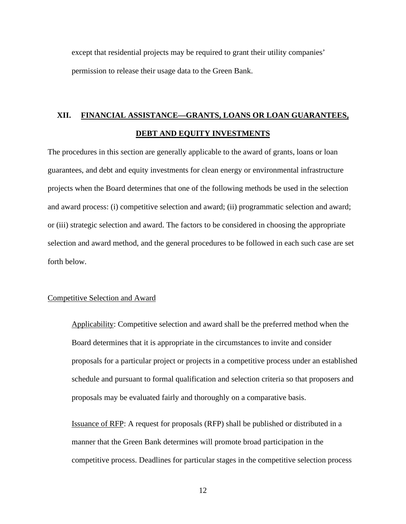except that residential projects may be required to grant their utility companies' permission to release their usage data to the Green Bank.

# **XII. FINANCIAL ASSISTANCE—GRANTS, LOANS OR LOAN GUARANTEES, DEBT AND EQUITY INVESTMENTS**

The procedures in this section are generally applicable to the award of grants, loans or loan guarantees, and debt and equity investments for clean energy or environmental infrastructure projects when the Board determines that one of the following methods be used in the selection and award process: (i) competitive selection and award; (ii) programmatic selection and award; or (iii) strategic selection and award. The factors to be considered in choosing the appropriate selection and award method, and the general procedures to be followed in each such case are set forth below.

### Competitive Selection and Award

Applicability: Competitive selection and award shall be the preferred method when the Board determines that it is appropriate in the circumstances to invite and consider proposals for a particular project or projects in a competitive process under an established schedule and pursuant to formal qualification and selection criteria so that proposers and proposals may be evaluated fairly and thoroughly on a comparative basis.

Issuance of RFP: A request for proposals (RFP) shall be published or distributed in a manner that the Green Bank determines will promote broad participation in the competitive process. Deadlines for particular stages in the competitive selection process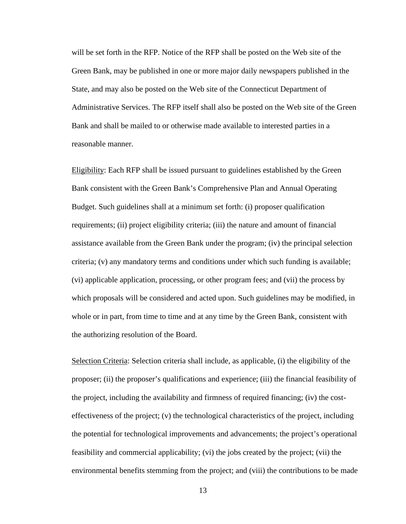will be set forth in the RFP. Notice of the RFP shall be posted on the Web site of the Green Bank, may be published in one or more major daily newspapers published in the State, and may also be posted on the Web site of the Connecticut Department of Administrative Services. The RFP itself shall also be posted on the Web site of the Green Bank and shall be mailed to or otherwise made available to interested parties in a reasonable manner.

Eligibility: Each RFP shall be issued pursuant to guidelines established by the Green Bank consistent with the Green Bank's Comprehensive Plan and Annual Operating Budget. Such guidelines shall at a minimum set forth: (i) proposer qualification requirements; (ii) project eligibility criteria; (iii) the nature and amount of financial assistance available from the Green Bank under the program; (iv) the principal selection criteria; (v) any mandatory terms and conditions under which such funding is available; (vi) applicable application, processing, or other program fees; and (vii) the process by which proposals will be considered and acted upon. Such guidelines may be modified, in whole or in part, from time to time and at any time by the Green Bank, consistent with the authorizing resolution of the Board.

Selection Criteria: Selection criteria shall include, as applicable, (i) the eligibility of the proposer; (ii) the proposer's qualifications and experience; (iii) the financial feasibility of the project, including the availability and firmness of required financing; (iv) the costeffectiveness of the project; (v) the technological characteristics of the project, including the potential for technological improvements and advancements; the project's operational feasibility and commercial applicability; (vi) the jobs created by the project; (vii) the environmental benefits stemming from the project; and (viii) the contributions to be made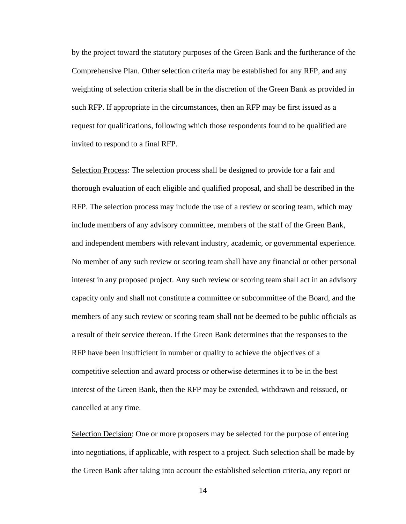by the project toward the statutory purposes of the Green Bank and the furtherance of the Comprehensive Plan. Other selection criteria may be established for any RFP, and any weighting of selection criteria shall be in the discretion of the Green Bank as provided in such RFP. If appropriate in the circumstances, then an RFP may be first issued as a request for qualifications, following which those respondents found to be qualified are invited to respond to a final RFP.

Selection Process: The selection process shall be designed to provide for a fair and thorough evaluation of each eligible and qualified proposal, and shall be described in the RFP. The selection process may include the use of a review or scoring team, which may include members of any advisory committee, members of the staff of the Green Bank, and independent members with relevant industry, academic, or governmental experience. No member of any such review or scoring team shall have any financial or other personal interest in any proposed project. Any such review or scoring team shall act in an advisory capacity only and shall not constitute a committee or subcommittee of the Board, and the members of any such review or scoring team shall not be deemed to be public officials as a result of their service thereon. If the Green Bank determines that the responses to the RFP have been insufficient in number or quality to achieve the objectives of a competitive selection and award process or otherwise determines it to be in the best interest of the Green Bank, then the RFP may be extended, withdrawn and reissued, or cancelled at any time.

Selection Decision: One or more proposers may be selected for the purpose of entering into negotiations, if applicable, with respect to a project. Such selection shall be made by the Green Bank after taking into account the established selection criteria, any report or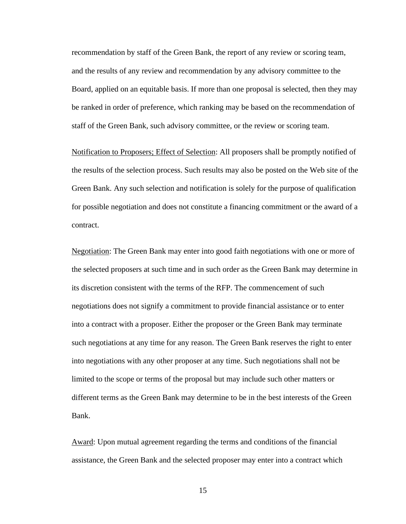recommendation by staff of the Green Bank, the report of any review or scoring team, and the results of any review and recommendation by any advisory committee to the Board, applied on an equitable basis. If more than one proposal is selected, then they may be ranked in order of preference, which ranking may be based on the recommendation of staff of the Green Bank, such advisory committee, or the review or scoring team.

Notification to Proposers; Effect of Selection: All proposers shall be promptly notified of the results of the selection process. Such results may also be posted on the Web site of the Green Bank. Any such selection and notification is solely for the purpose of qualification for possible negotiation and does not constitute a financing commitment or the award of a contract.

Negotiation: The Green Bank may enter into good faith negotiations with one or more of the selected proposers at such time and in such order as the Green Bank may determine in its discretion consistent with the terms of the RFP. The commencement of such negotiations does not signify a commitment to provide financial assistance or to enter into a contract with a proposer. Either the proposer or the Green Bank may terminate such negotiations at any time for any reason. The Green Bank reserves the right to enter into negotiations with any other proposer at any time. Such negotiations shall not be limited to the scope or terms of the proposal but may include such other matters or different terms as the Green Bank may determine to be in the best interests of the Green Bank.

Award: Upon mutual agreement regarding the terms and conditions of the financial assistance, the Green Bank and the selected proposer may enter into a contract which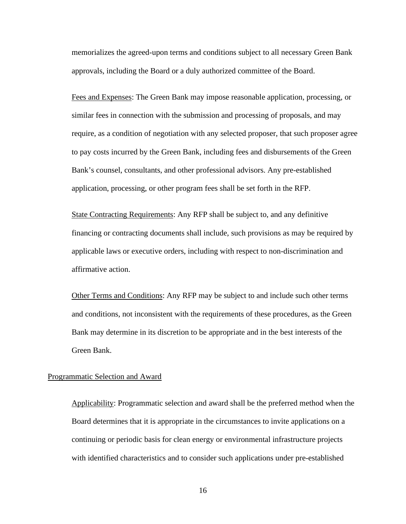memorializes the agreed-upon terms and conditions subject to all necessary Green Bank approvals, including the Board or a duly authorized committee of the Board.

Fees and Expenses: The Green Bank may impose reasonable application, processing, or similar fees in connection with the submission and processing of proposals, and may require, as a condition of negotiation with any selected proposer, that such proposer agree to pay costs incurred by the Green Bank, including fees and disbursements of the Green Bank's counsel, consultants, and other professional advisors. Any pre-established application, processing, or other program fees shall be set forth in the RFP.

State Contracting Requirements: Any RFP shall be subject to, and any definitive financing or contracting documents shall include, such provisions as may be required by applicable laws or executive orders, including with respect to non-discrimination and affirmative action.

Other Terms and Conditions: Any RFP may be subject to and include such other terms and conditions, not inconsistent with the requirements of these procedures, as the Green Bank may determine in its discretion to be appropriate and in the best interests of the Green Bank.

#### Programmatic Selection and Award

Applicability: Programmatic selection and award shall be the preferred method when the Board determines that it is appropriate in the circumstances to invite applications on a continuing or periodic basis for clean energy or environmental infrastructure projects with identified characteristics and to consider such applications under pre-established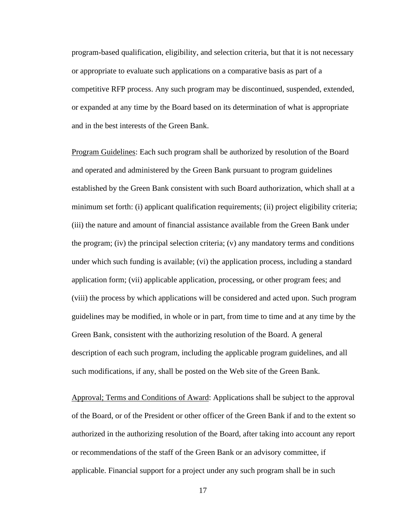program-based qualification, eligibility, and selection criteria, but that it is not necessary or appropriate to evaluate such applications on a comparative basis as part of a competitive RFP process. Any such program may be discontinued, suspended, extended, or expanded at any time by the Board based on its determination of what is appropriate and in the best interests of the Green Bank.

Program Guidelines: Each such program shall be authorized by resolution of the Board and operated and administered by the Green Bank pursuant to program guidelines established by the Green Bank consistent with such Board authorization, which shall at a minimum set forth: (i) applicant qualification requirements; (ii) project eligibility criteria; (iii) the nature and amount of financial assistance available from the Green Bank under the program; (iv) the principal selection criteria; (v) any mandatory terms and conditions under which such funding is available; (vi) the application process, including a standard application form; (vii) applicable application, processing, or other program fees; and (viii) the process by which applications will be considered and acted upon. Such program guidelines may be modified, in whole or in part, from time to time and at any time by the Green Bank, consistent with the authorizing resolution of the Board. A general description of each such program, including the applicable program guidelines, and all such modifications, if any, shall be posted on the Web site of the Green Bank.

Approval; Terms and Conditions of Award: Applications shall be subject to the approval of the Board, or of the President or other officer of the Green Bank if and to the extent so authorized in the authorizing resolution of the Board, after taking into account any report or recommendations of the staff of the Green Bank or an advisory committee, if applicable. Financial support for a project under any such program shall be in such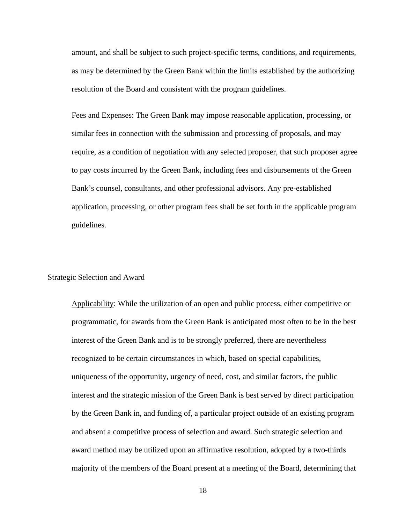amount, and shall be subject to such project-specific terms, conditions, and requirements, as may be determined by the Green Bank within the limits established by the authorizing resolution of the Board and consistent with the program guidelines.

Fees and Expenses: The Green Bank may impose reasonable application, processing, or similar fees in connection with the submission and processing of proposals, and may require, as a condition of negotiation with any selected proposer, that such proposer agree to pay costs incurred by the Green Bank, including fees and disbursements of the Green Bank's counsel, consultants, and other professional advisors. Any pre-established application, processing, or other program fees shall be set forth in the applicable program guidelines.

#### Strategic Selection and Award

Applicability: While the utilization of an open and public process, either competitive or programmatic, for awards from the Green Bank is anticipated most often to be in the best interest of the Green Bank and is to be strongly preferred, there are nevertheless recognized to be certain circumstances in which, based on special capabilities, uniqueness of the opportunity, urgency of need, cost, and similar factors, the public interest and the strategic mission of the Green Bank is best served by direct participation by the Green Bank in, and funding of, a particular project outside of an existing program and absent a competitive process of selection and award. Such strategic selection and award method may be utilized upon an affirmative resolution, adopted by a two-thirds majority of the members of the Board present at a meeting of the Board, determining that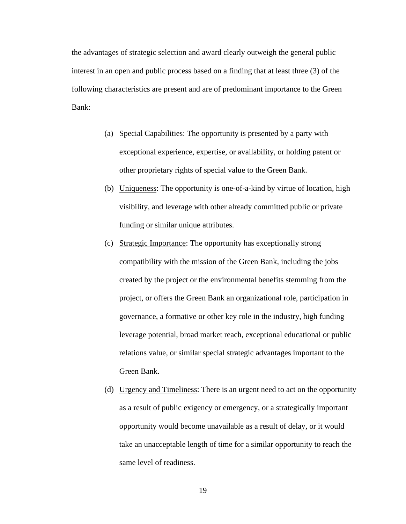the advantages of strategic selection and award clearly outweigh the general public interest in an open and public process based on a finding that at least three (3) of the following characteristics are present and are of predominant importance to the Green Bank:

- (a) Special Capabilities: The opportunity is presented by a party with exceptional experience, expertise, or availability, or holding patent or other proprietary rights of special value to the Green Bank.
- (b) Uniqueness: The opportunity is one-of-a-kind by virtue of location, high visibility, and leverage with other already committed public or private funding or similar unique attributes.
- (c) Strategic Importance: The opportunity has exceptionally strong compatibility with the mission of the Green Bank, including the jobs created by the project or the environmental benefits stemming from the project, or offers the Green Bank an organizational role, participation in governance, a formative or other key role in the industry, high funding leverage potential, broad market reach, exceptional educational or public relations value, or similar special strategic advantages important to the Green Bank.
- (d) Urgency and Timeliness: There is an urgent need to act on the opportunity as a result of public exigency or emergency, or a strategically important opportunity would become unavailable as a result of delay, or it would take an unacceptable length of time for a similar opportunity to reach the same level of readiness.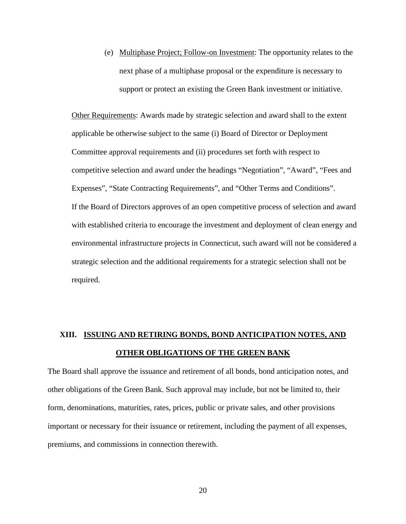(e) Multiphase Project; Follow-on Investment: The opportunity relates to the next phase of a multiphase proposal or the expenditure is necessary to support or protect an existing the Green Bank investment or initiative.

Other Requirements: Awards made by strategic selection and award shall to the extent applicable be otherwise subject to the same (i) Board of Director or Deployment Committee approval requirements and (ii) procedures set forth with respect to competitive selection and award under the headings "Negotiation", "Award", "Fees and Expenses", "State Contracting Requirements", and "Other Terms and Conditions". If the Board of Directors approves of an open competitive process of selection and award with established criteria to encourage the investment and deployment of clean energy and environmental infrastructure projects in Connecticut, such award will not be considered a strategic selection and the additional requirements for a strategic selection shall not be required.

# **XIII. ISSUING AND RETIRING BONDS, BOND ANTICIPATION NOTES, AND OTHER OBLIGATIONS OF THE GREEN BANK**

The Board shall approve the issuance and retirement of all bonds, bond anticipation notes, and other obligations of the Green Bank. Such approval may include, but not be limited to, their form, denominations, maturities, rates, prices, public or private sales, and other provisions important or necessary for their issuance or retirement, including the payment of all expenses, premiums, and commissions in connection therewith.